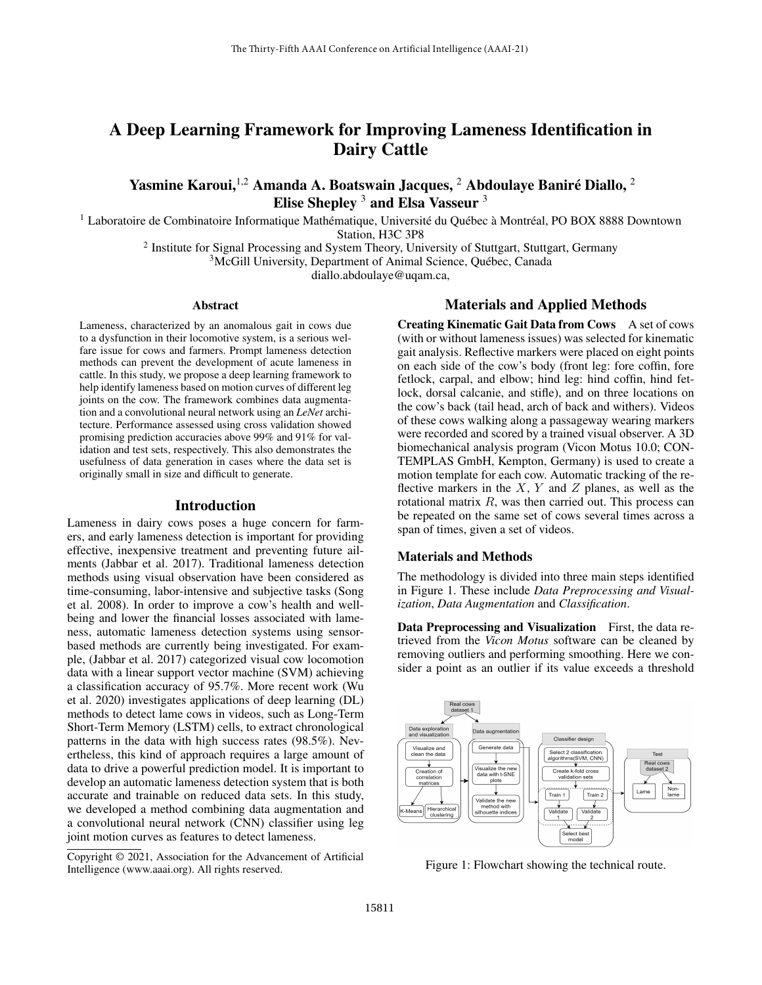# A Deep Learning Framework for Improving Lameness Identification in Dairy Cattle

## Yasmine Karoui, $^{1,2}$  Amanda A. Boatswain Jacques,  $^2$  Abdoulaye Baniré Diallo,  $^2$ Elise Shepley <sup>3</sup> and Elsa Vasseur <sup>3</sup>

 $<sup>1</sup>$  Laboratoire de Combinatoire Informatique Mathématique, Université du Québec à Montréal, PO BOX 8888 Downtown</sup>

Station, H3C 3P8

<sup>2</sup> Institute for Signal Processing and System Theory, University of Stuttgart, Stuttgart, Germany

<sup>3</sup>McGill University, Department of Animal Science, Québec, Canada

diallo.abdoulaye@uqam.ca,

## Abstract

Lameness, characterized by an anomalous gait in cows due to a dysfunction in their locomotive system, is a serious welfare issue for cows and farmers. Prompt lameness detection methods can prevent the development of acute lameness in cattle. In this study, we propose a deep learning framework to help identify lameness based on motion curves of different leg joints on the cow. The framework combines data augmentation and a convolutional neural network using an *LeNet* architecture. Performance assessed using cross validation showed promising prediction accuracies above 99% and 91% for validation and test sets, respectively. This also demonstrates the usefulness of data generation in cases where the data set is originally small in size and difficult to generate.

## Introduction

Lameness in dairy cows poses a huge concern for farmers, and early lameness detection is important for providing effective, inexpensive treatment and preventing future ailments (Jabbar et al. 2017). Traditional lameness detection methods using visual observation have been considered as time-consuming, labor-intensive and subjective tasks (Song et al. 2008). In order to improve a cow's health and wellbeing and lower the financial losses associated with lameness, automatic lameness detection systems using sensorbased methods are currently being investigated. For example, (Jabbar et al. 2017) categorized visual cow locomotion data with a linear support vector machine (SVM) achieving a classification accuracy of 95.7%. More recent work (Wu et al. 2020) investigates applications of deep learning (DL) methods to detect lame cows in videos, such as Long-Term Short-Term Memory (LSTM) cells, to extract chronological patterns in the data with high success rates (98.5%). Nevertheless, this kind of approach requires a large amount of data to drive a powerful prediction model. It is important to develop an automatic lameness detection system that is both accurate and trainable on reduced data sets. In this study, we developed a method combining data augmentation and a convolutional neural network (CNN) classifier using leg joint motion curves as features to detect lameness.

## Materials and Applied Methods

Creating Kinematic Gait Data from Cows A set of cows (with or without lameness issues) was selected for kinematic gait analysis. Reflective markers were placed on eight points on each side of the cow's body (front leg: fore coffin, fore fetlock, carpal, and elbow; hind leg: hind coffin, hind fetlock, dorsal calcanie, and stifle), and on three locations on the cow's back (tail head, arch of back and withers). Videos of these cows walking along a passageway wearing markers were recorded and scored by a trained visual observer. A 3D biomechanical analysis program (Vicon Motus 10.0; CON-TEMPLAS GmbH, Kempton, Germany) is used to create a motion template for each cow. Automatic tracking of the reflective markers in the  $X$ ,  $Y$  and  $Z$  planes, as well as the rotational matrix R, was then carried out. This process can be repeated on the same set of cows several times across a span of times, given a set of videos.

### Materials and Methods

The methodology is divided into three main steps identified in Figure 1. These include *Data Preprocessing and Visualization*, *Data Augmentation* and *Classification*.

Data Preprocessing and Visualization First, the data retrieved from the *Vicon Motus* software can be cleaned by removing outliers and performing smoothing. Here we consider a point as an outlier if its value exceeds a threshold



Figure 1: Flowchart showing the technical route.

Copyright © 2021, Association for the Advancement of Artificial Intelligence (www.aaai.org). All rights reserved.